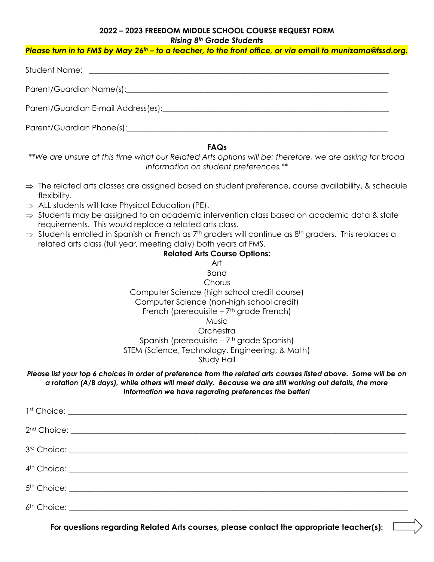### **2022 – 2023 FREEDOM MIDDLE SCHOOL COURSE REQUEST FORM** *Rising 8th Grade Students*

## *Please turn in to FMS by May 26th – to a teacher, to the front office, or via email to munizama@fssd.org.*

### **FAQs**

*\*\*We are unsure at this time what our Related Arts options will be; therefore, we are asking for broad information on student preferences.\*\**

- $\Rightarrow$  The related arts classes are assigned based on student preference, course availability, & schedule flexibility.
- $\Rightarrow$  ALL students will take Physical Education (PE).
- $\Rightarrow$  Students may be assigned to an academic intervention class based on academic data & state requirements. This would replace a related arts class.
- $\Rightarrow$  Students enrolled in Spanish or French as 7<sup>th</sup> graders will continue as 8<sup>th</sup> graders. This replaces a related arts class (full year, meeting daily) both years at FMS.

## **Related Arts Course Options:** Art Band **Chorus** Computer Science (high school credit course) Computer Science (non-high school credit) French (prerequisite – 7<sup>th</sup> grade French) Music **Orchestra** Spanish (prerequisite – 7 th grade Spanish) STEM (Science, Technology, Engineering, & Math) Study Hall

#### *Please list your top 6 choices in order of preference from the related arts courses listed above. Some will be on a rotation (A/B days), while others will meet daily. Because we are still working out details, the more information we have regarding preferences the better!*

**For questions regarding Related Arts courses, please contact the appropriate teacher(s):**